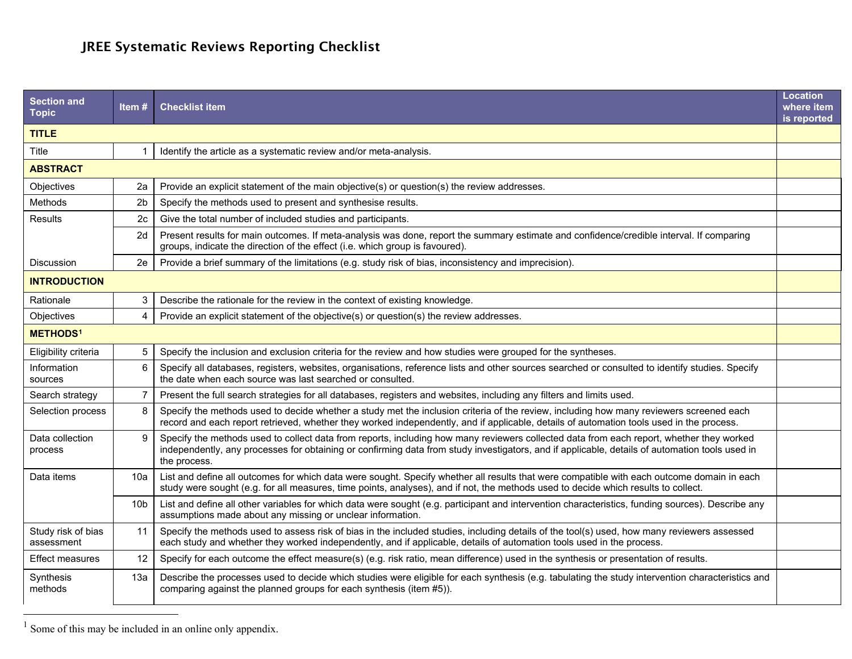## <span id="page-0-0"></span>JREE Systematic Reviews Reporting Checklist

| <b>Section and</b><br><b>Topic</b> | Item $#$        | <b>Checklist item</b>                                                                                                                                                                                                                                                                                      | Location<br>where item<br>is reported |  |  |
|------------------------------------|-----------------|------------------------------------------------------------------------------------------------------------------------------------------------------------------------------------------------------------------------------------------------------------------------------------------------------------|---------------------------------------|--|--|
| <b>TITLE</b>                       |                 |                                                                                                                                                                                                                                                                                                            |                                       |  |  |
| Title                              |                 | Identify the article as a systematic review and/or meta-analysis.                                                                                                                                                                                                                                          |                                       |  |  |
| <b>ABSTRACT</b>                    |                 |                                                                                                                                                                                                                                                                                                            |                                       |  |  |
| Objectives                         | 2a              | Provide an explicit statement of the main objective(s) or question(s) the review addresses.                                                                                                                                                                                                                |                                       |  |  |
| Methods                            | 2 <sub>b</sub>  | Specify the methods used to present and synthesise results.                                                                                                                                                                                                                                                |                                       |  |  |
| <b>Results</b>                     | 2c              | Give the total number of included studies and participants.                                                                                                                                                                                                                                                |                                       |  |  |
|                                    | 2d              | Present results for main outcomes. If meta-analysis was done, report the summary estimate and confidence/credible interval. If comparing<br>groups, indicate the direction of the effect (i.e. which group is favoured).                                                                                   |                                       |  |  |
| <b>Discussion</b>                  | 2e              | Provide a brief summary of the limitations (e.g. study risk of bias, inconsistency and imprecision).                                                                                                                                                                                                       |                                       |  |  |
| <b>INTRODUCTION</b>                |                 |                                                                                                                                                                                                                                                                                                            |                                       |  |  |
| Rationale                          | 3               | Describe the rationale for the review in the context of existing knowledge.                                                                                                                                                                                                                                |                                       |  |  |
| Objectives                         | 4               | Provide an explicit statement of the objective(s) or question(s) the review addresses.                                                                                                                                                                                                                     |                                       |  |  |
| METHODS <sup>1</sup>               |                 |                                                                                                                                                                                                                                                                                                            |                                       |  |  |
| Eligibility criteria               | 5               | Specify the inclusion and exclusion criteria for the review and how studies were grouped for the syntheses.                                                                                                                                                                                                |                                       |  |  |
| Information<br>sources             | 6               | Specify all databases, registers, websites, organisations, reference lists and other sources searched or consulted to identify studies. Specify<br>the date when each source was last searched or consulted.                                                                                               |                                       |  |  |
| Search strategy                    | 7               | Present the full search strategies for all databases, registers and websites, including any filters and limits used.                                                                                                                                                                                       |                                       |  |  |
| Selection process                  | 8               | Specify the methods used to decide whether a study met the inclusion criteria of the review, including how many reviewers screened each<br>record and each report retrieved, whether they worked independently, and if applicable, details of automation tools used in the process.                        |                                       |  |  |
| Data collection<br>process         | 9               | Specify the methods used to collect data from reports, including how many reviewers collected data from each report, whether they worked<br>independently, any processes for obtaining or confirming data from study investigators, and if applicable, details of automation tools used in<br>the process. |                                       |  |  |
| Data items                         | 10a             | List and define all outcomes for which data were sought. Specify whether all results that were compatible with each outcome domain in each<br>study were sought (e.g. for all measures, time points, analyses), and if not, the methods used to decide which results to collect.                           |                                       |  |  |
|                                    | 10 <sub>b</sub> | List and define all other variables for which data were sought (e.g. participant and intervention characteristics, funding sources). Describe any<br>assumptions made about any missing or unclear information.                                                                                            |                                       |  |  |
| Study risk of bias<br>assessment   | 11              | Specify the methods used to assess risk of bias in the included studies, including details of the tool(s) used, how many reviewers assessed<br>each study and whether they worked independently, and if applicable, details of automation tools used in the process.                                       |                                       |  |  |
| <b>Effect measures</b>             | 12              | Specify for each outcome the effect measure(s) (e.g. risk ratio, mean difference) used in the synthesis or presentation of results.                                                                                                                                                                        |                                       |  |  |
| Synthesis<br>methods               | 13a             | Describe the processes used to decide which studies were eligible for each synthesis (e.g. tabulating the study intervention characteristics and<br>comparing against the planned groups for each synthesis (item #5)).                                                                                    |                                       |  |  |

 $1$  Some of this may be included in an online only appendix.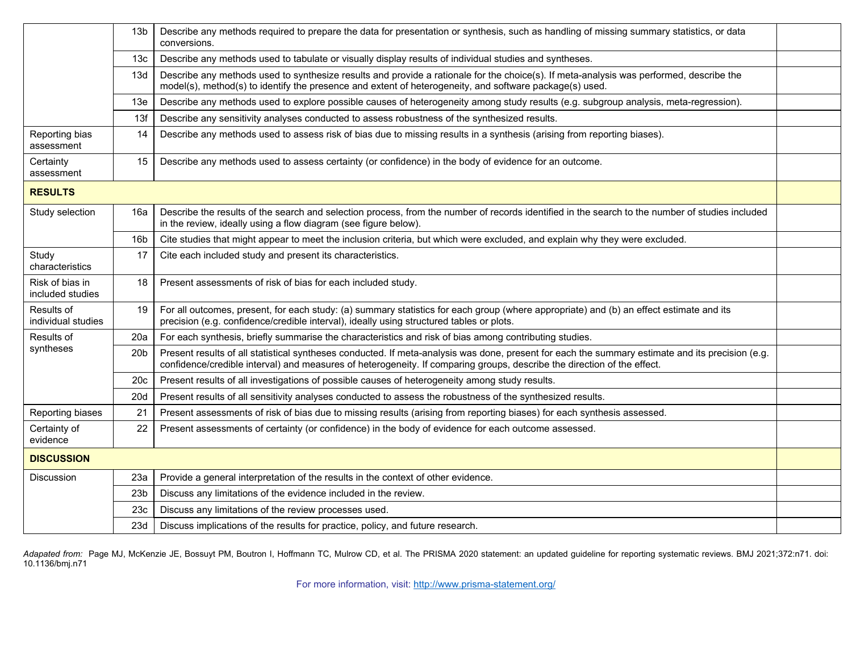|                                     | 13 <sub>b</sub> | Describe any methods required to prepare the data for presentation or synthesis, such as handling of missing summary statistics, or data<br>conversions.                                                                                                                    |  |  |
|-------------------------------------|-----------------|-----------------------------------------------------------------------------------------------------------------------------------------------------------------------------------------------------------------------------------------------------------------------------|--|--|
|                                     | 13 <sub>c</sub> | Describe any methods used to tabulate or visually display results of individual studies and syntheses.                                                                                                                                                                      |  |  |
|                                     | 13d             | Describe any methods used to synthesize results and provide a rationale for the choice(s). If meta-analysis was performed, describe the<br>model(s), method(s) to identify the presence and extent of heterogeneity, and software package(s) used.                          |  |  |
|                                     | 13 <sub>e</sub> | Describe any methods used to explore possible causes of heterogeneity among study results (e.g. subgroup analysis, meta-regression).                                                                                                                                        |  |  |
|                                     | 13f             | Describe any sensitivity analyses conducted to assess robustness of the synthesized results.                                                                                                                                                                                |  |  |
| Reporting bias<br>assessment        | 14              | Describe any methods used to assess risk of bias due to missing results in a synthesis (arising from reporting biases).                                                                                                                                                     |  |  |
| Certainty<br>assessment             | 15              | Describe any methods used to assess certainty (or confidence) in the body of evidence for an outcome.                                                                                                                                                                       |  |  |
| <b>RESULTS</b>                      |                 |                                                                                                                                                                                                                                                                             |  |  |
| Study selection                     | 16a             | Describe the results of the search and selection process, from the number of records identified in the search to the number of studies included<br>in the review, ideally using a flow diagram (see figure below).                                                          |  |  |
|                                     | 16 <sub>b</sub> | Cite studies that might appear to meet the inclusion criteria, but which were excluded, and explain why they were excluded.                                                                                                                                                 |  |  |
| Study<br>characteristics            | 17              | Cite each included study and present its characteristics.                                                                                                                                                                                                                   |  |  |
| Risk of bias in<br>included studies | 18              | Present assessments of risk of bias for each included study.                                                                                                                                                                                                                |  |  |
| Results of<br>individual studies    | 19              | For all outcomes, present, for each study: (a) summary statistics for each group (where appropriate) and (b) an effect estimate and its<br>precision (e.g. confidence/credible interval), ideally using structured tables or plots.                                         |  |  |
| Results of                          | 20a             | For each synthesis, briefly summarise the characteristics and risk of bias among contributing studies.                                                                                                                                                                      |  |  |
| syntheses                           | 20 <sub>b</sub> | Present results of all statistical syntheses conducted. If meta-analysis was done, present for each the summary estimate and its precision (e.g.<br>confidence/credible interval) and measures of heterogeneity. If comparing groups, describe the direction of the effect. |  |  |
|                                     | 20 <sub>c</sub> | Present results of all investigations of possible causes of heterogeneity among study results.                                                                                                                                                                              |  |  |
|                                     | 20d             | Present results of all sensitivity analyses conducted to assess the robustness of the synthesized results.                                                                                                                                                                  |  |  |
| Reporting biases                    | 21              | Present assessments of risk of bias due to missing results (arising from reporting biases) for each synthesis assessed.                                                                                                                                                     |  |  |
| Certainty of<br>evidence            | 22              | Present assessments of certainty (or confidence) in the body of evidence for each outcome assessed.                                                                                                                                                                         |  |  |
| <b>DISCUSSION</b>                   |                 |                                                                                                                                                                                                                                                                             |  |  |
| <b>Discussion</b>                   | 23a             | Provide a general interpretation of the results in the context of other evidence.                                                                                                                                                                                           |  |  |
|                                     | 23 <sub>b</sub> | Discuss any limitations of the evidence included in the review.                                                                                                                                                                                                             |  |  |
|                                     | 23c             | Discuss any limitations of the review processes used.                                                                                                                                                                                                                       |  |  |
|                                     | 23d             | Discuss implications of the results for practice, policy, and future research.                                                                                                                                                                                              |  |  |

Adapated from: Page MJ, McKenzie JE, Bossuyt PM, Boutron I, Hoffmann TC, Mulrow CD, et al. The PRISMA 2020 statement: an updated guideline for reporting systematic reviews. BMJ 2021;372:n71. doi: 10.1136/bmj.n71

For more information, visit: <http://www.prisma-statement.org/>